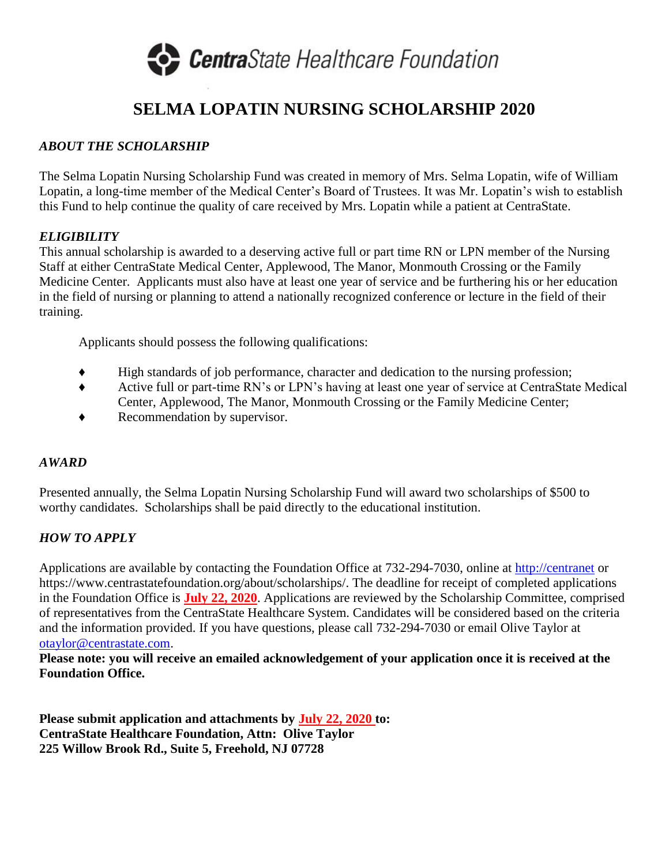

# **SELMA LOPATIN NURSING SCHOLARSHIP 2020**

### *ABOUT THE SCHOLARSHIP*

The Selma Lopatin Nursing Scholarship Fund was created in memory of Mrs. Selma Lopatin, wife of William Lopatin, a long-time member of the Medical Center's Board of Trustees. It was Mr. Lopatin's wish to establish this Fund to help continue the quality of care received by Mrs. Lopatin while a patient at CentraState.

#### *ELIGIBILITY*

This annual scholarship is awarded to a deserving active full or part time RN or LPN member of the Nursing Staff at either CentraState Medical Center, Applewood, The Manor, Monmouth Crossing or the Family Medicine Center. Applicants must also have at least one year of service and be furthering his or her education in the field of nursing or planning to attend a nationally recognized conference or lecture in the field of their training.

Applicants should possess the following qualifications:

- ♦ High standards of job performance, character and dedication to the nursing profession;
- ♦ Active full or part-time RN's or LPN's having at least one year of service at CentraState Medical Center, Applewood, The Manor, Monmouth Crossing or the Family Medicine Center;
- ♦ Recommendation by supervisor.

#### *AWARD*

Presented annually, the Selma Lopatin Nursing Scholarship Fund will award two scholarships of \$500 to worthy candidates. Scholarships shall be paid directly to the educational institution.

## *HOW TO APPLY*

Applications are available by contacting the Foundation Office at 732-294-7030, online at [http://centranet](http://centranet/) or https://www.centrastatefoundation.org/about/scholarships/. The deadline for receipt of completed applications in the Foundation Office is **July 22, 2020**. Applications are reviewed by the Scholarship Committee, comprised of representatives from the CentraState Healthcare System. Candidates will be considered based on the criteria and the information provided. If you have questions, please call 732-294-7030 or email Olive Taylor at [otaylor@centrastate.com.](mailto:otaylor@centrastate.com)

**Please note: you will receive an emailed acknowledgement of your application once it is received at the Foundation Office.**

**Please submit application and attachments by July 22, 2020 to: CentraState Healthcare Foundation, Attn: Olive Taylor 225 Willow Brook Rd., Suite 5, Freehold, NJ 07728**